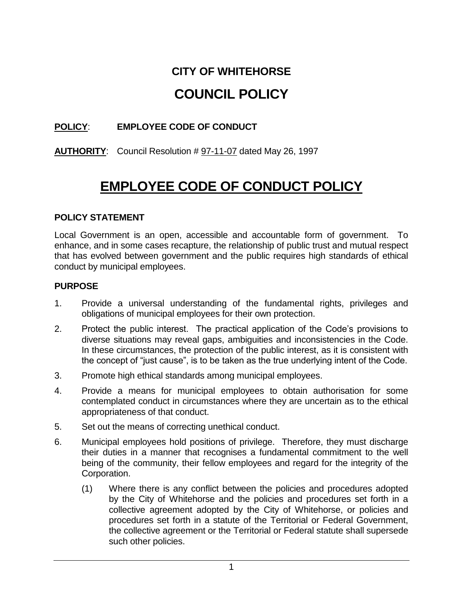# **CITY OF WHITEHORSE COUNCIL POLICY**

# **POLICY**: **EMPLOYEE CODE OF CONDUCT**

# **AUTHORITY**: Council Resolution # 97-11-07 dated May 26, 1997

# **EMPLOYEE CODE OF CONDUCT POLICY**

#### **POLICY STATEMENT**

Local Government is an open, accessible and accountable form of government. To enhance, and in some cases recapture, the relationship of public trust and mutual respect that has evolved between government and the public requires high standards of ethical conduct by municipal employees.

#### **PURPOSE**

- 1. Provide a universal understanding of the fundamental rights, privileges and obligations of municipal employees for their own protection.
- 2. Protect the public interest. The practical application of the Code's provisions to diverse situations may reveal gaps, ambiguities and inconsistencies in the Code. In these circumstances, the protection of the public interest, as it is consistent with the concept of "just cause", is to be taken as the true underlying intent of the Code.
- 3. Promote high ethical standards among municipal employees.
- 4. Provide a means for municipal employees to obtain authorisation for some contemplated conduct in circumstances where they are uncertain as to the ethical appropriateness of that conduct.
- 5. Set out the means of correcting unethical conduct.
- 6. Municipal employees hold positions of privilege. Therefore, they must discharge their duties in a manner that recognises a fundamental commitment to the well being of the community, their fellow employees and regard for the integrity of the Corporation.
	- (1) Where there is any conflict between the policies and procedures adopted by the City of Whitehorse and the policies and procedures set forth in a collective agreement adopted by the City of Whitehorse, or policies and procedures set forth in a statute of the Territorial or Federal Government, the collective agreement or the Territorial or Federal statute shall supersede such other policies.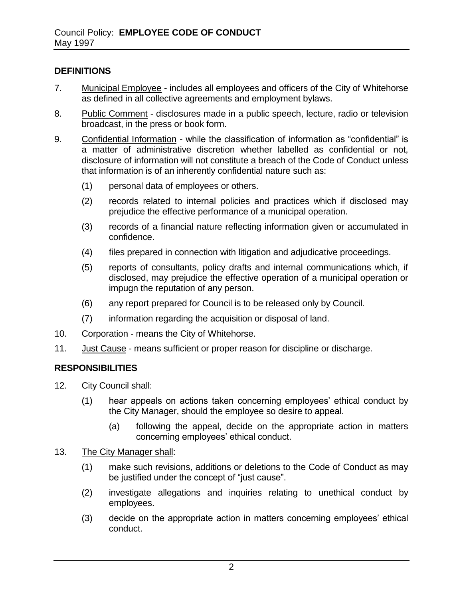#### **DEFINITIONS**

- 7. Municipal Employee includes all employees and officers of the City of Whitehorse as defined in all collective agreements and employment bylaws.
- 8. Public Comment disclosures made in a public speech, lecture, radio or television broadcast, in the press or book form.
- 9. Confidential Information while the classification of information as "confidential" is a matter of administrative discretion whether labelled as confidential or not, disclosure of information will not constitute a breach of the Code of Conduct unless that information is of an inherently confidential nature such as:
	- (1) personal data of employees or others.
	- (2) records related to internal policies and practices which if disclosed may prejudice the effective performance of a municipal operation.
	- (3) records of a financial nature reflecting information given or accumulated in confidence.
	- (4) files prepared in connection with litigation and adjudicative proceedings.
	- (5) reports of consultants, policy drafts and internal communications which, if disclosed, may prejudice the effective operation of a municipal operation or impugn the reputation of any person.
	- (6) any report prepared for Council is to be released only by Council.
	- (7) information regarding the acquisition or disposal of land.
- 10. Corporation means the City of Whitehorse.
- 11. Just Cause means sufficient or proper reason for discipline or discharge.

#### **RESPONSIBILITIES**

- 12. City Council shall:
	- (1) hear appeals on actions taken concerning employees' ethical conduct by the City Manager, should the employee so desire to appeal.
		- (a) following the appeal, decide on the appropriate action in matters concerning employees' ethical conduct.
- 13. The City Manager shall:
	- (1) make such revisions, additions or deletions to the Code of Conduct as may be justified under the concept of "just cause".
	- (2) investigate allegations and inquiries relating to unethical conduct by employees.
	- (3) decide on the appropriate action in matters concerning employees' ethical conduct.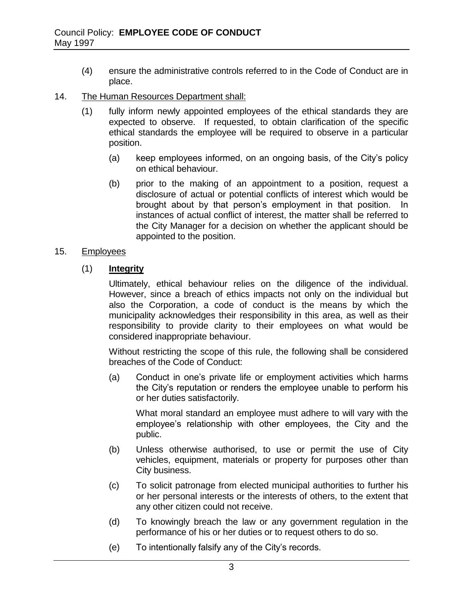- (4) ensure the administrative controls referred to in the Code of Conduct are in place.
- 14. The Human Resources Department shall:
	- (1) fully inform newly appointed employees of the ethical standards they are expected to observe. If requested, to obtain clarification of the specific ethical standards the employee will be required to observe in a particular position.
		- (a) keep employees informed, on an ongoing basis, of the City's policy on ethical behaviour.
		- (b) prior to the making of an appointment to a position, request a disclosure of actual or potential conflicts of interest which would be brought about by that person's employment in that position. In instances of actual conflict of interest, the matter shall be referred to the City Manager for a decision on whether the applicant should be appointed to the position.

#### 15. Employees

#### (1) **Integrity**

Ultimately, ethical behaviour relies on the diligence of the individual. However, since a breach of ethics impacts not only on the individual but also the Corporation, a code of conduct is the means by which the municipality acknowledges their responsibility in this area, as well as their responsibility to provide clarity to their employees on what would be considered inappropriate behaviour.

Without restricting the scope of this rule, the following shall be considered breaches of the Code of Conduct:

(a) Conduct in one's private life or employment activities which harms the City's reputation or renders the employee unable to perform his or her duties satisfactorily.

What moral standard an employee must adhere to will vary with the employee's relationship with other employees, the City and the public.

- (b) Unless otherwise authorised, to use or permit the use of City vehicles, equipment, materials or property for purposes other than City business.
- (c) To solicit patronage from elected municipal authorities to further his or her personal interests or the interests of others, to the extent that any other citizen could not receive.
- (d) To knowingly breach the law or any government regulation in the performance of his or her duties or to request others to do so.
- (e) To intentionally falsify any of the City's records.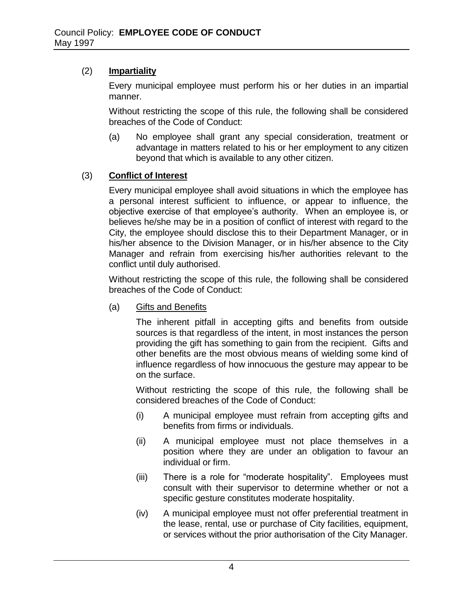### (2) **Impartiality**

Every municipal employee must perform his or her duties in an impartial manner.

Without restricting the scope of this rule, the following shall be considered breaches of the Code of Conduct:

(a) No employee shall grant any special consideration, treatment or advantage in matters related to his or her employment to any citizen beyond that which is available to any other citizen.

#### (3) **Conflict of Interest**

Every municipal employee shall avoid situations in which the employee has a personal interest sufficient to influence, or appear to influence, the objective exercise of that employee's authority. When an employee is, or believes he/she may be in a position of conflict of interest with regard to the City, the employee should disclose this to their Department Manager, or in his/her absence to the Division Manager, or in his/her absence to the City Manager and refrain from exercising his/her authorities relevant to the conflict until duly authorised.

Without restricting the scope of this rule, the following shall be considered breaches of the Code of Conduct:

(a) Gifts and Benefits

The inherent pitfall in accepting gifts and benefits from outside sources is that regardless of the intent, in most instances the person providing the gift has something to gain from the recipient. Gifts and other benefits are the most obvious means of wielding some kind of influence regardless of how innocuous the gesture may appear to be on the surface.

Without restricting the scope of this rule, the following shall be considered breaches of the Code of Conduct:

- (i) A municipal employee must refrain from accepting gifts and benefits from firms or individuals.
- (ii) A municipal employee must not place themselves in a position where they are under an obligation to favour an individual or firm.
- (iii) There is a role for "moderate hospitality". Employees must consult with their supervisor to determine whether or not a specific gesture constitutes moderate hospitality.
- (iv) A municipal employee must not offer preferential treatment in the lease, rental, use or purchase of City facilities, equipment, or services without the prior authorisation of the City Manager.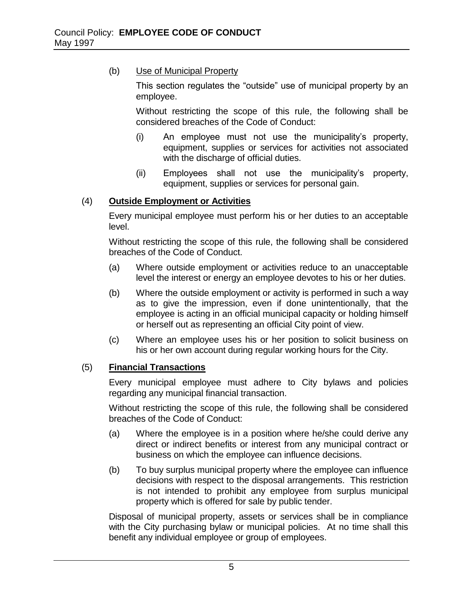#### (b) Use of Municipal Property

This section regulates the "outside" use of municipal property by an employee.

Without restricting the scope of this rule, the following shall be considered breaches of the Code of Conduct:

- (i) An employee must not use the municipality's property, equipment, supplies or services for activities not associated with the discharge of official duties.
- (ii) Employees shall not use the municipality's property, equipment, supplies or services for personal gain.

#### (4) **Outside Employment or Activities**

Every municipal employee must perform his or her duties to an acceptable level.

Without restricting the scope of this rule, the following shall be considered breaches of the Code of Conduct.

- (a) Where outside employment or activities reduce to an unacceptable level the interest or energy an employee devotes to his or her duties.
- (b) Where the outside employment or activity is performed in such a way as to give the impression, even if done unintentionally, that the employee is acting in an official municipal capacity or holding himself or herself out as representing an official City point of view.
- (c) Where an employee uses his or her position to solicit business on his or her own account during regular working hours for the City.

# (5) **Financial Transactions**

Every municipal employee must adhere to City bylaws and policies regarding any municipal financial transaction.

Without restricting the scope of this rule, the following shall be considered breaches of the Code of Conduct:

- (a) Where the employee is in a position where he/she could derive any direct or indirect benefits or interest from any municipal contract or business on which the employee can influence decisions.
- (b) To buy surplus municipal property where the employee can influence decisions with respect to the disposal arrangements. This restriction is not intended to prohibit any employee from surplus municipal property which is offered for sale by public tender.

Disposal of municipal property, assets or services shall be in compliance with the City purchasing bylaw or municipal policies. At no time shall this benefit any individual employee or group of employees.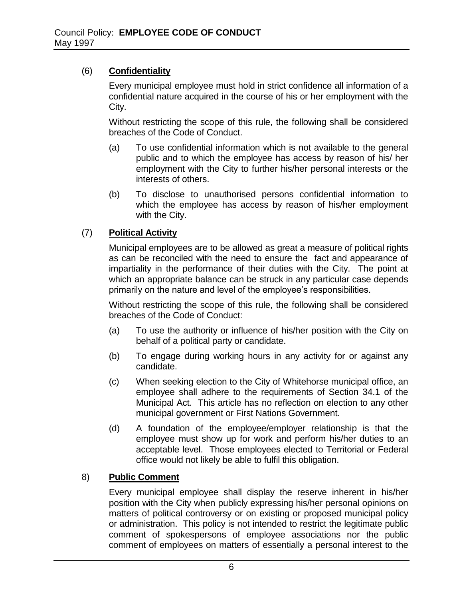#### (6) **Confidentiality**

Every municipal employee must hold in strict confidence all information of a confidential nature acquired in the course of his or her employment with the City.

Without restricting the scope of this rule, the following shall be considered breaches of the Code of Conduct.

- (a) To use confidential information which is not available to the general public and to which the employee has access by reason of his/ her employment with the City to further his/her personal interests or the interests of others.
- (b) To disclose to unauthorised persons confidential information to which the employee has access by reason of his/her employment with the City.

# (7) **Political Activity**

Municipal employees are to be allowed as great a measure of political rights as can be reconciled with the need to ensure the fact and appearance of impartiality in the performance of their duties with the City. The point at which an appropriate balance can be struck in any particular case depends primarily on the nature and level of the employee's responsibilities.

Without restricting the scope of this rule, the following shall be considered breaches of the Code of Conduct:

- (a) To use the authority or influence of his/her position with the City on behalf of a political party or candidate.
- (b) To engage during working hours in any activity for or against any candidate.
- (c) When seeking election to the City of Whitehorse municipal office, an employee shall adhere to the requirements of Section 34.1 of the Municipal Act. This article has no reflection on election to any other municipal government or First Nations Government.
- (d) A foundation of the employee/employer relationship is that the employee must show up for work and perform his/her duties to an acceptable level. Those employees elected to Territorial or Federal office would not likely be able to fulfil this obligation.

#### 8) **Public Comment**

Every municipal employee shall display the reserve inherent in his/her position with the City when publicly expressing his/her personal opinions on matters of political controversy or on existing or proposed municipal policy or administration. This policy is not intended to restrict the legitimate public comment of spokespersons of employee associations nor the public comment of employees on matters of essentially a personal interest to the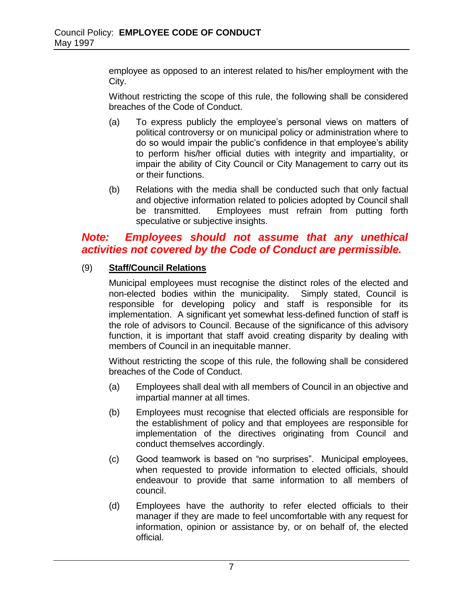employee as opposed to an interest related to his/her employment with the City.

Without restricting the scope of this rule, the following shall be considered breaches of the Code of Conduct.

- (a) To express publicly the employee's personal views on matters of political controversy or on municipal policy or administration where to do so would impair the public's confidence in that employee's ability to perform his/her official duties with integrity and impartiality, or impair the ability of City Council or City Management to carry out its or their functions.
- (b) Relations with the media shall be conducted such that only factual and objective information related to policies adopted by Council shall be transmitted. Employees must refrain from putting forth speculative or subjective insights.

# *Note: Employees should not assume that any unethical activities not covered by the Code of Conduct are permissible.*

# (9) **Staff/Council Relations**

Municipal employees must recognise the distinct roles of the elected and non-elected bodies within the municipality. Simply stated, Council is responsible for developing policy and staff is responsible for its implementation. A significant yet somewhat less-defined function of staff is the role of advisors to Council. Because of the significance of this advisory function, it is important that staff avoid creating disparity by dealing with members of Council in an inequitable manner.

Without restricting the scope of this rule, the following shall be considered breaches of the Code of Conduct.

- (a) Employees shall deal with all members of Council in an objective and impartial manner at all times.
- (b) Employees must recognise that elected officials are responsible for the establishment of policy and that employees are responsible for implementation of the directives originating from Council and conduct themselves accordingly.
- (c) Good teamwork is based on "no surprises". Municipal employees, when requested to provide information to elected officials, should endeavour to provide that same information to all members of council.
- (d) Employees have the authority to refer elected officials to their manager if they are made to feel uncomfortable with any request for information, opinion or assistance by, or on behalf of, the elected official.